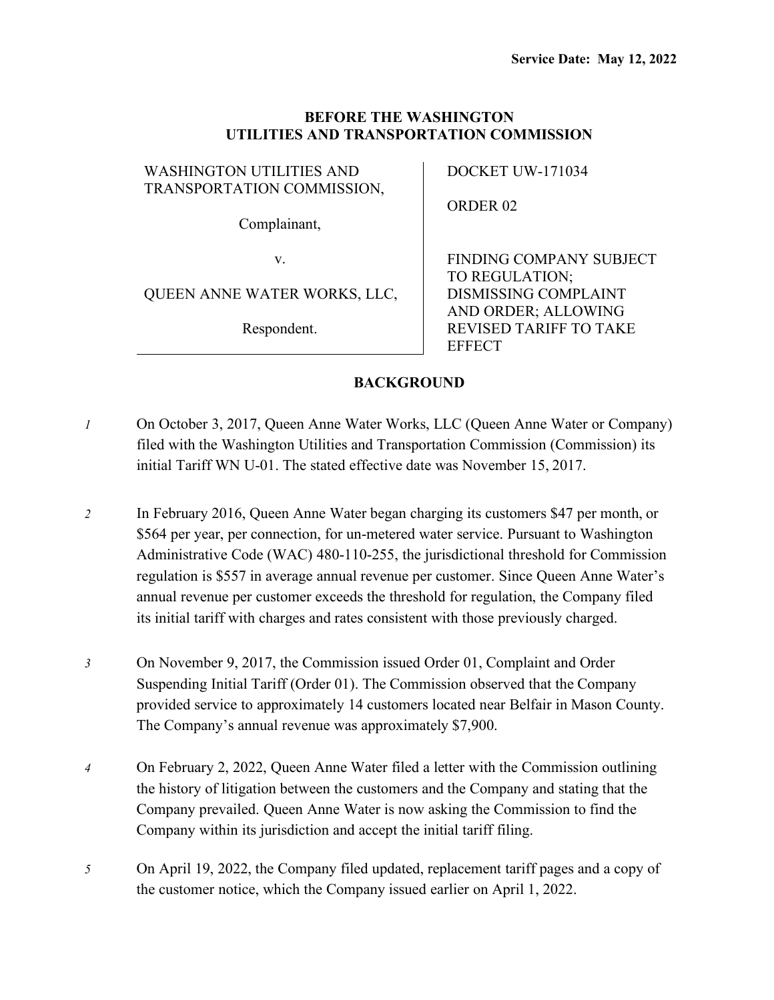### **BEFORE THE WASHINGTON UTILITIES AND TRANSPORTATION COMMISSION**

### WASHINGTON UTILITIES AND TRANSPORTATION COMMISSION,

Complainant,

v.

# QUEEN ANNE WATER WORKS, LLC,

Respondent.

DOCKET UW-171034

ORDER 02

FINDING COMPANY SUBJECT TO REGULATION; DISMISSING COMPLAINT AND ORDER; ALLOWING REVISED TARIFF TO TAKE **EFFECT** 

# **BACKGROUND**

- *1* On October 3, 2017, Queen Anne Water Works, LLC (Queen Anne Water or Company) filed with the Washington Utilities and Transportation Commission (Commission) its initial Tariff WN U-01. The stated effective date was November 15, 2017.
- *2* In February 2016, Queen Anne Water began charging its customers \$47 per month, or \$564 per year, per connection, for un-metered water service. Pursuant to Washington Administrative Code (WAC) 480-110-255, the jurisdictional threshold for Commission regulation is \$557 in average annual revenue per customer. Since Queen Anne Water's annual revenue per customer exceeds the threshold for regulation, the Company filed its initial tariff with charges and rates consistent with those previously charged.
- *3* On November 9, 2017, the Commission issued Order 01, Complaint and Order Suspending Initial Tariff (Order 01). The Commission observed that the Company provided service to approximately 14 customers located near Belfair in Mason County. The Company's annual revenue was approximately \$7,900.
- *4* On February 2, 2022, Queen Anne Water filed a letter with the Commission outlining the history of litigation between the customers and the Company and stating that the Company prevailed. Queen Anne Water is now asking the Commission to find the Company within its jurisdiction and accept the initial tariff filing.
- *5* On April 19, 2022, the Company filed updated, replacement tariff pages and a copy of the customer notice, which the Company issued earlier on April 1, 2022.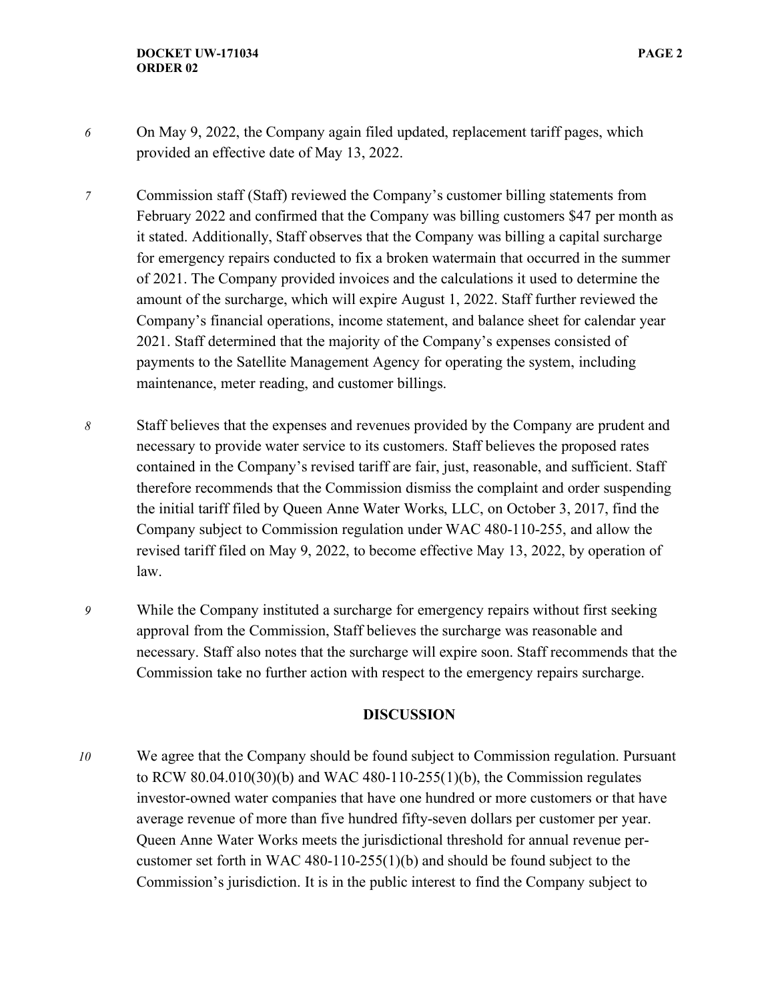- *6* On May 9, 2022, the Company again filed updated, replacement tariff pages, which provided an effective date of May 13, 2022.
- *7* Commission staff (Staff) reviewed the Company's customer billing statements from February 2022 and confirmed that the Company was billing customers \$47 per month as it stated. Additionally, Staff observes that the Company was billing a capital surcharge for emergency repairs conducted to fix a broken watermain that occurred in the summer of 2021. The Company provided invoices and the calculations it used to determine the amount of the surcharge, which will expire August 1, 2022. Staff further reviewed the Company's financial operations, income statement, and balance sheet for calendar year 2021. Staff determined that the majority of the Company's expenses consisted of payments to the Satellite Management Agency for operating the system, including maintenance, meter reading, and customer billings.
- *8* Staff believes that the expenses and revenues provided by the Company are prudent and necessary to provide water service to its customers. Staff believes the proposed rates contained in the Company's revised tariff are fair, just, reasonable, and sufficient. Staff therefore recommends that the Commission dismiss the complaint and order suspending the initial tariff filed by Queen Anne Water Works, LLC, on October 3, 2017, find the Company subject to Commission regulation under WAC 480-110-255, and allow the revised tariff filed on May 9, 2022, to become effective May 13, 2022, by operation of law.
- *9* While the Company instituted a surcharge for emergency repairs without first seeking approval from the Commission, Staff believes the surcharge was reasonable and necessary. Staff also notes that the surcharge will expire soon. Staff recommends that the Commission take no further action with respect to the emergency repairs surcharge.

#### **DISCUSSION**

*10* We agree that the Company should be found subject to Commission regulation. Pursuant to RCW 80.04.010(30)(b) and WAC 480-110-255(1)(b), the Commission regulates investor-owned water companies that have one hundred or more customers or that have average revenue of more than five hundred fifty-seven dollars per customer per year. Queen Anne Water Works meets the jurisdictional threshold for annual revenue percustomer set forth in WAC 480-110-255(1)(b) and should be found subject to the Commission's jurisdiction. It is in the public interest to find the Company subject to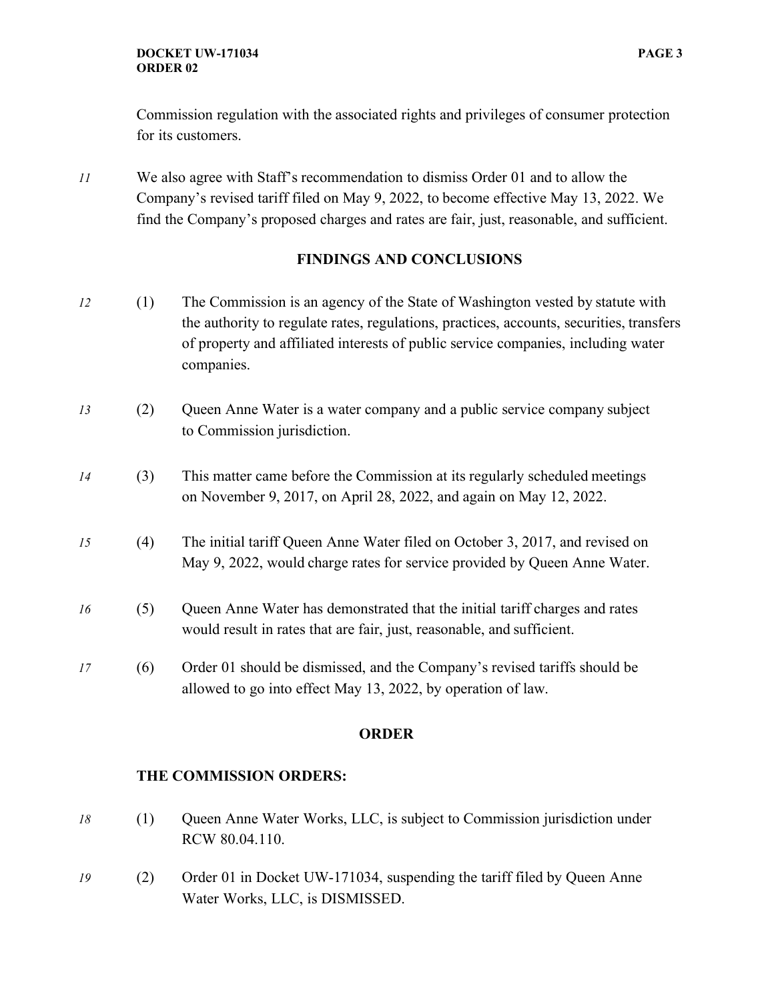Commission regulation with the associated rights and privileges of consumer protection for its customers.

*11* We also agree with Staff's recommendation to dismiss Order 01 and to allow the Company's revised tariff filed on May 9, 2022, to become effective May 13, 2022. We find the Company's proposed charges and rates are fair, just, reasonable, and sufficient.

# **FINDINGS AND CONCLUSIONS**

- *12* (1) The Commission is an agency of the State of Washington vested by statute with the authority to regulate rates, regulations, practices, accounts, securities, transfers of property and affiliated interests of public service companies, including water companies.
- *13* (2) Queen Anne Water is a water company and a public service company subject to Commission jurisdiction.
- *14* (3) This matter came before the Commission at its regularly scheduled meetings on November 9, 2017, on April 28, 2022, and again on May 12, 2022.
- *15* (4) The initial tariff Queen Anne Water filed on October 3, 2017, and revised on May 9, 2022, would charge rates for service provided by Queen Anne Water.
- *16* (5) Queen Anne Water has demonstrated that the initial tariff charges and rates would result in rates that are fair, just, reasonable, and sufficient.
- *17* (6) Order 01 should be dismissed, and the Company's revised tariffs should be allowed to go into effect May 13, 2022, by operation of law.

#### **ORDER**

### **THE COMMISSION ORDERS:**

- *18* (1) Queen Anne Water Works, LLC, is subject to Commission jurisdiction under RCW 80.04.110.
- *19* (2) Order 01 in Docket UW-171034, suspending the tariff filed by Queen Anne Water Works, LLC, is DISMISSED.